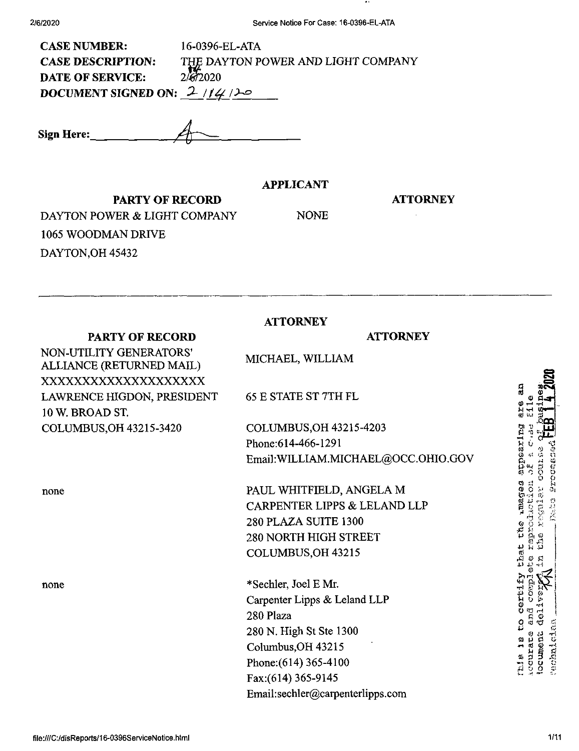| <b>CASE NUMBER:</b>           | 16-0396-EL-ATA                     |  |
|-------------------------------|------------------------------------|--|
| <b>CASE DESCRIPTION:</b>      | THE DAYTON POWER AND LIGHT COMPANY |  |
| <b>DATE OF SERVICE:</b>       | 2/572020                           |  |
| DOCUMENT SIGNED ON: $2/14/20$ |                                    |  |
|                               |                                    |  |

**Sign Here:\_**

### **APPLICANT**

### **ATTORNEY**

**PARTY OF RECORD** DAYTON POWER & LIGHT COMPANY 1065 WOODMAN DRIVE DAYTON,OH 45432

**PARTY OF RECORD**

NON-UTILITY GENERATORS' ALLIANCE (RETURNED MAIL) XXXXXXXXXXXXXXXXXXXX LAWRENCE HIGDON, PRESIDENT

COLUMBUS,OH 43215-3420

low. BROAD ST.

none

none

NONE

# **ATTORNEY**

### **ATTORNEY**

MICHAEL, WILLIAM

65 E STATE ST 7TH FL

COLUMBUS,OH 43215-4203 Phone:614-466-1291 Email;WILLIAM.MICHAEL@OCC.OHIO.GOV

PAUL WHITFIELD, ANGELA M CARPENTER LIPPS & LELAND LLP 280 PLAZA SUITE 1300 280 NORTH HIGH STREET COLUMBUS,OH 43215

\*Sechler, Joel E Mr. Carpenter Lipps & Leland LLP 280 Plaza 280 N. High St Ste 1300 Columbus, OH 43215 Phone:(614) 365-4100 Fax:(614)365-9145 Email:sechler@carpenterlipps.com appearing **Rades** reproduction tic<br>C ^ <sup>O</sup> 4-> 4-' -!-i certif and com<br>deliver<br>.. ă courate hie is echnici locumer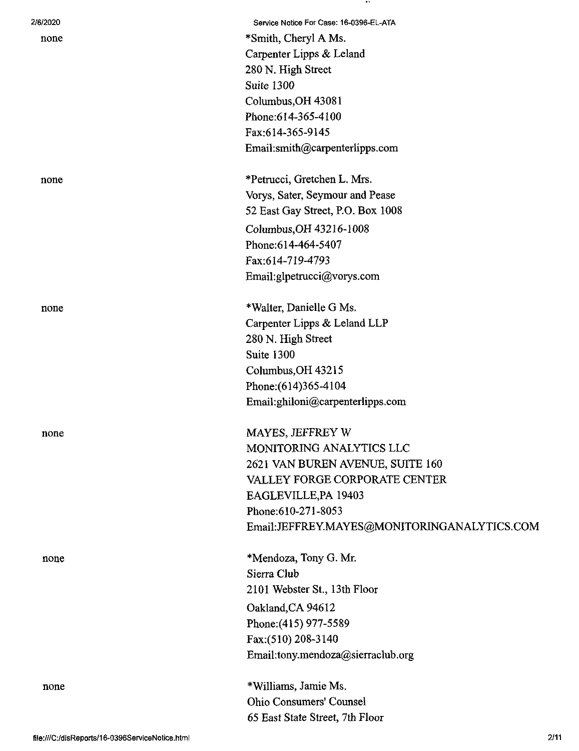| 2/6/2020 | Service Notice For Case: 16-0396-EL-ATA     |
|----------|---------------------------------------------|
| none     | *Smith, Cheryl A Ms.                        |
|          | Carpenter Lipps & Leland                    |
|          | 280 N. High Street                          |
|          | Suite 1300                                  |
|          | Columbus, OH 43081                          |
|          | Phone: 614-365-4100                         |
|          | Fax:614-365-9145                            |
|          | Email:smith@carpenterlipps.com              |
| none     | *Petrucci, Gretchen L. Mrs.                 |
|          | Vorys, Sater, Seymour and Pease             |
|          | 52 East Gay Street, P.O. Box 1008           |
|          | Columbus, OH 43216-1008                     |
|          | Phone: 614-464-5407                         |
|          | Fax:614-719-4793                            |
|          | Email:glpetrucci@vorys.com                  |
| none     | *Walter, Danielle G Ms.                     |
|          | Carpenter Lipps & Leland LLP                |
|          | 280 N. High Street                          |
|          | Suite 1300                                  |
|          | Columbus, OH 43215                          |
|          | Phone: (614)365-4104                        |
|          | Email:ghiloni@carpenterlipps.com            |
| none     | <b>MAYES, JEFFREY W</b>                     |
|          | MONITORING ANALYTICS LLC                    |
|          | 2621 VAN BUREN AVENUE, SUITE 160            |
|          | VALLEY FORGE CORPORATE CENTER               |
|          | EAGLEVILLE, PA 19403                        |
|          | Phone:610-271-8053                          |
|          | Email:JEFFREY.MAYES@MONITORINGANALYTICS.COM |
| none     | *Mendoza, Tony G. Mr.                       |
|          | Sierra Club                                 |
|          | 2101 Webster St., 13th Floor                |
|          | Oakland, CA 94612                           |
|          | Phone: (415) 977-5589                       |
|          | Fax:(510) 208-3140                          |
|          | Email:tony.mendoza@sierraclub.org           |
| none     | *Williams, Jamie Ms.                        |
|          | <b>Ohio Consumers' Counsel</b>              |
|          | 65 East State Street, 7th Floor             |

 $\cdots$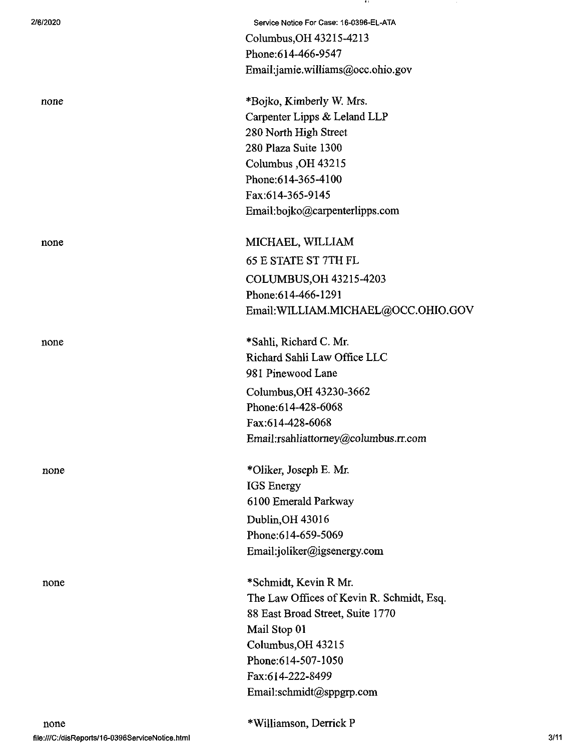| 2/6/2020 | Service Notice For Case: 16-0396-EL-ATA   |
|----------|-------------------------------------------|
|          | Columbus, OH 43215-4213                   |
|          | Phone: 614-466-9547                       |
|          | Email:jamie.williams@occ.ohio.gov         |
| none     | *Bojko, Kimberly W. Mrs.                  |
|          | Carpenter Lipps & Leland LLP              |
|          | 280 North High Street                     |
|          | 280 Plaza Suite 1300                      |
|          | Columbus, OH 43215                        |
|          | Phone: 614-365-4100                       |
|          | Fax:614-365-9145                          |
|          | Email:bojko@carpenterlipps.com            |
| none     | MICHAEL, WILLIAM                          |
|          | <b>65 E STATE ST 7TH FL</b>               |
|          | COLUMBUS, OH 43215-4203                   |
|          | Phone:614-466-1291                        |
|          | Email: WILLIAM.MICHAEL@OCC.OHIO.GOV       |
| none     | *Sahli, Richard C. Mr.                    |
|          | Richard Sahli Law Office LLC              |
|          | 981 Pinewood Lane                         |
|          | Columbus, OH 43230-3662                   |
|          | Phone:614-428-6068                        |
|          | Fax:614-428-6068                          |
|          | Email:rsahliattorney@columbus.rr.com      |
| none     | *Oliker, Joseph E. Mr.                    |
|          | IGS Energy                                |
|          | 6100 Emerald Parkway                      |
|          | Dublin, OH 43016                          |
|          | Phone:614-659-5069                        |
|          | Email:joliker@igsenergy.com               |
| none     | *Schmidt, Kevin R Mr.                     |
|          | The Law Offices of Kevin R. Schmidt, Esq. |
|          | 88 East Broad Street, Suite 1770          |
|          | Mail Stop 01                              |
|          | Columbus, OH 43215                        |
|          | Phone: 614-507-1050                       |
|          | Fax:614-222-8499                          |
|          | Email:schmidt@sppgrp.com                  |
|          |                                           |

- 11

 $\mathcal{C}$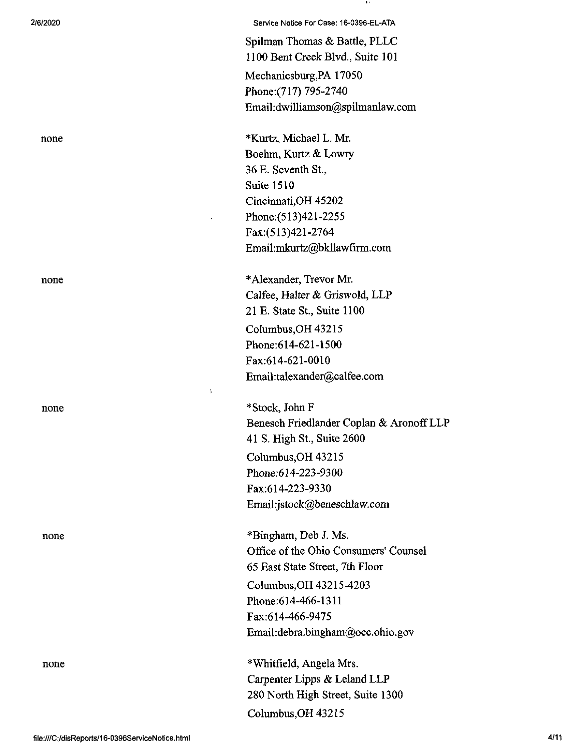none

**2/6/2020 Service Notice For Case: 16-0396-EL-ATA**

Spilman Thomas & Battle, PLLC 1100 Bent Creek Blvd., Suite 101 Mechanicsburg,PA 17050 Phone:(717) 795-2740 Email:dwilliamson@spilmanlaw.com

none \*Kurtz, Michael L. Mr. Boehm, Kurtz & Lowry 36 E. Seventh St., Suite 1510 Cincinnati,OH 45202 Phone:(513)421-2255 Fax:(513)421-2764 Email:mkurtz@bkllawfirm.com

none \*Alexander, Trevor Mr. Calfee, Halter & Griswold, LLP 21 E. State St., Suite 1100 CoIumbus,OH43215 Phone:614-621-1500 Fax:614-621-0010 Email:talexander@calfee.com

 $\mathbf{I}$ 

\*Stock, John F Benesch Friedlander Coplan & AronoffLLP 41 S. High St., Suite 2600 Columbus,OH 43215 Phone:614-223-9300 Fax:614-223-9330 Email:jstock@beneschlaw.com

none \*Bingham, Deb J. Ms. Office of the Ohio Consumers' Counsel 65 East State Street, 7th Floor Columbus,OH 43215-4203 Phone:614-466-1311 Fax:614-466-9475 Email:debra.bingham@occ.ohio.gov

none \*Whitfield, Angela Mrs. Carpenter Lipps & Leland LLP 280 North High Street, Suite 1300 Columbus,OH 43215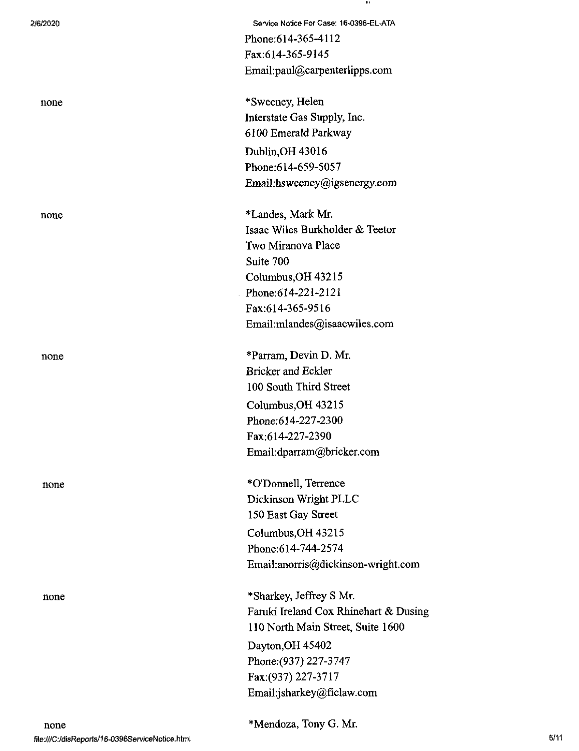| 2/6/2020 | Service Notice For Case: 16-0396-EL-ATA |
|----------|-----------------------------------------|
|          | Phone: 614-365-4112                     |
|          | Fax:614-365-9145                        |
|          | Email:paul@carpenterlipps.com           |
| none     | *Sweeney, Helen                         |
|          | Interstate Gas Supply, Inc.             |
|          | 6100 Emerald Parkway                    |
|          | Dublin, OH 43016                        |
|          | Phone:614-659-5057                      |
|          | Email:hsweeney@igsenergy.com            |
| none     | *Landes, Mark Mr.                       |
|          | Isaac Wiles Burkholder & Teetor         |
|          | Two Miranova Place                      |
|          | Suite 700                               |
|          | Columbus, OH 43215                      |
|          | Phone:614-221-2121                      |
|          | Fax:614-365-9516                        |
|          | Email:mlandes@isaacwiles.com            |
| none     | *Parram, Devin D. Mr.                   |
|          | <b>Bricker and Eckler</b>               |
|          | 100 South Third Street                  |
|          | Columbus, OH 43215                      |
|          | Phone: 614-227-2300                     |
|          | Fax:614-227-2390                        |
|          | Email:dparram@bricker.com               |
| none     | *O'Donnell, Terrence                    |
|          | Dickinson Wright PLLC                   |
|          | 150 East Gay Street                     |
|          | Columbus, OH 43215                      |
|          | Phone: 614-744-2574                     |
|          | Email:anorris@dickinson-wright.com      |
| none     | *Sharkey, Jeffrey S Mr.                 |
|          | Faruki Ireland Cox Rhinehart & Dusing   |
|          | 110 North Main Street, Suite 1600       |
|          | Dayton, OH 45402                        |
|          | Phone: (937) 227-3747                   |
|          | Fax: (937) 227-3717                     |
|          | Email:jsharkey@ficlaw.com               |
|          |                                         |

 $\bullet$  :

\*Mendoza, Tony G. Mr.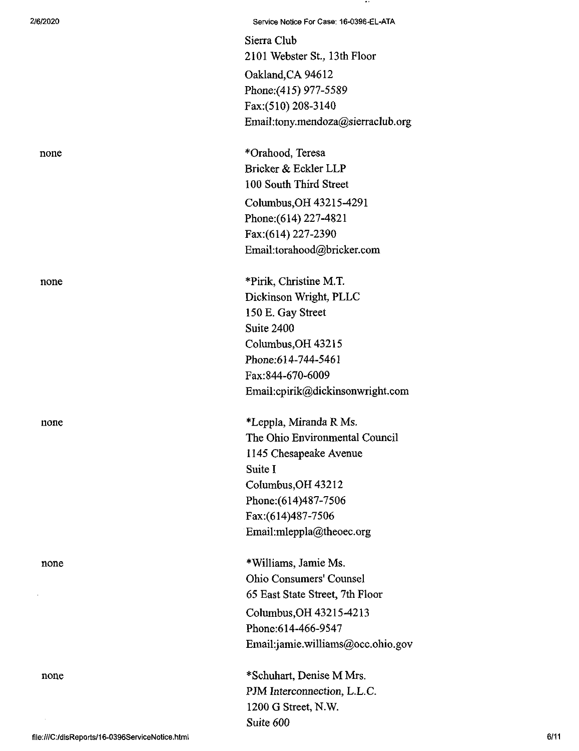2/6/2020 Service Notice For Case; 16-0396-EL-ATA

Sierra Club 2101 Webster St., 13th Floor Oakland,CA 94612 Phone;(415) 977-5589 Fax:(510) 208-3140 EmaiI:tony.mendoza@sierraclub.org

none \*Orahood, Teresa Bricker & Eckler LLP 100 South Third Street Columbus,OH 43215-4291 Phone:(614) 227-4821 Fax:(614) 227-2390 Email:torahood@bricker.com

none \*Pirik, Christine M.T. Dickinson Wright, PLLC 150 E. Gay Street Suite 2400 Columbus,OH 43215 Phone;614-744-5461 Fax:844-670-6009 Email:cpirik@dickinsonwright.com

none \*Leppla, Miranda R Ms. The Ohio Environmental Council 1145 Chesapeake Avenue Suite I Columbus,OH 43212 Phone:(614)487-7506 Fax:(614)487-7506 Email:mleppla@theoec.org

none \*Williams, Jamie Ms. Ohio Consumers' Counsel 65 East State Street, 7th Floor Columbus,OH 43215-4213 Phone:614-466-9547 Email:jamie.williams@occ.ohio.gov

none \*Schuhart, Denise M Mrs. PJM Interconnection, L.L.C. 1200 G Street, N.W. Suite 600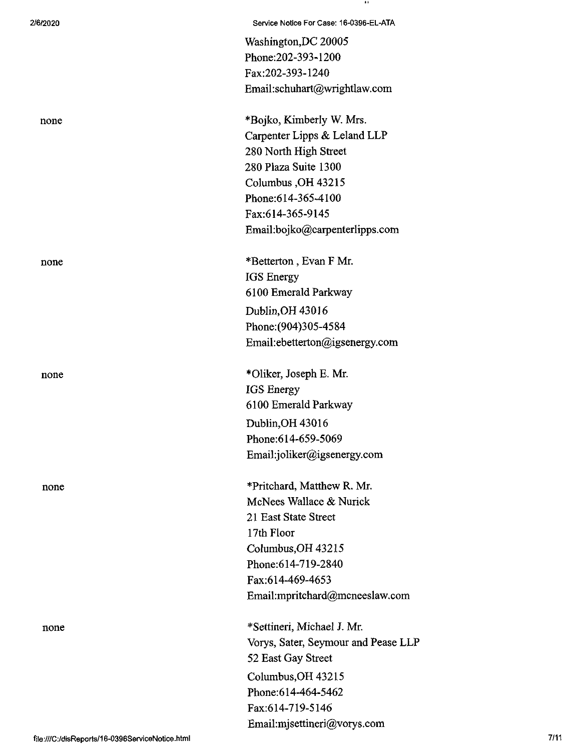| 2/6/2020 | Service Notice For Case: 16-0396-EL-ATA |
|----------|-----------------------------------------|
|          | Washington, DC 20005                    |
|          | Phone: 202-393-1200                     |
|          | Fax:202-393-1240                        |
|          | Email:schuhart@wrightlaw.com            |
| none     | *Bojko, Kimberly W. Mrs.                |
|          | Carpenter Lipps & Leland LLP            |
|          | 280 North High Street                   |
|          | 280 Plaza Suite 1300                    |
|          | Columbus, OH 43215                      |
|          | Phone: 614-365-4100                     |
|          | Fax:614-365-9145                        |
|          | Email:bojko@carpenterlipps.com          |
| none     | *Betterton, Evan F Mr.                  |
|          | <b>IGS</b> Energy                       |
|          | 6100 Emerald Parkway                    |
|          | Dublin, OH 43016                        |
|          | Phone: (904)305-4584                    |
|          | Email:ebetterton@igsenergy.com          |
| none     | *Oliker, Joseph E. Mr.                  |
|          | <b>IGS</b> Energy                       |
|          | 6100 Emerald Parkway                    |
|          | Dublin, OH 43016                        |
|          | Phone: 614-659-5069                     |
|          | Email:joliker@igsenergy.com             |
| none     | *Pritchard, Matthew R. Mr.              |
|          | McNees Wallace & Nurick                 |
|          | 21 East State Street                    |
|          | 17th Floor                              |
|          | Columbus, OH 43215                      |
|          | Phone: 614-719-2840                     |
|          | Fax:614-469-4653                        |
|          | Email:mpritchard@mcneeslaw.com          |
| none     | *Settineri, Michael J. Mr.              |
|          | Vorys, Sater, Seymour and Pease LLP     |
|          | 52 East Gay Street                      |
|          | Columbus, OH 43215                      |
|          | Phone: 614-464-5462                     |
|          | Fax:614-719-5146                        |
|          | Email:mjsettineri@vorys.com             |

 $\sim$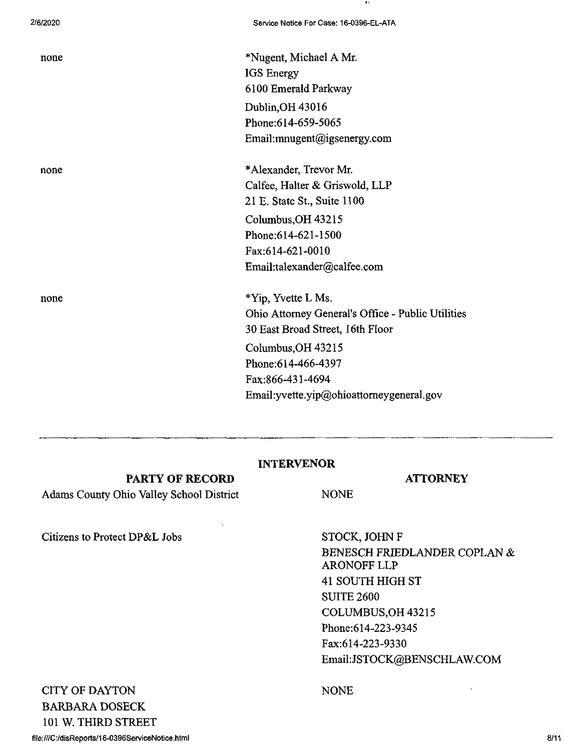none \*Nugent, Michael A Mr. IGS Energy 6100 Emerald Parkway Dublin,OH 43016 Phone:614-659-5065 Email:mnugent@igsenergy.com

none \*Alexander, Trevor Mr. Calfee, Halter & Griswold, LLP 21 E. State St., Suite 1100 Columbus,OH 43215 Phone:614-621-1500 Fax:614-621-0010 Email:talexander@calfee.com

none \*Yip, Yvette L Ms. Ohio Attorney General's Office - Public Utilities 30 East Broad Street, 16th Floor Columbus,OH 43215 Phone:614-466-4397 Fax:866-431-4694 Email:yvette.yip@ohioattomeygeneral.gov

### INTERVENOR

### PARTY OF RECORD

Adams County Ohio Valley School District

ATTORNEY

Citizens to Protect DP&L Jobs STOCK, JOHN F

BENESCH FRIEDLANDER COPLAN & ARONOFF LLP 41 SOUTH HIGH ST SUITE 2600 COLUMBUS,OH 43215 Phone:614-223-9345 Fax:614-223-9330 Email:JSTOCK@BENSCHLAW.COM

CITY OF DAYTON BARBARA DOSECK 101 W. THIRD STREET

## NONE

NONE

file:///C:/disReports/16-0396ServiceNotice.html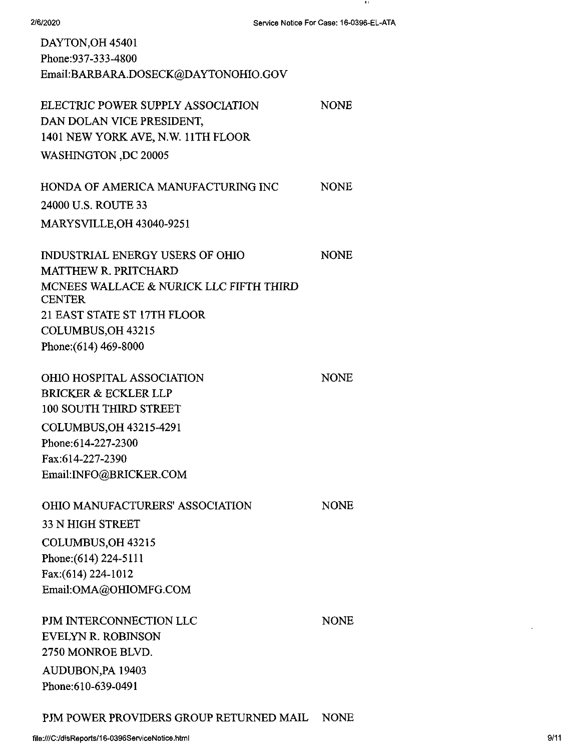- 83

| DAYTON, OH 45401<br>Phone: 937-333-4800<br>Email:BARBARA.DOSECK@DAYTONOHIO.GOV                                                                                                                                  |             |
|-----------------------------------------------------------------------------------------------------------------------------------------------------------------------------------------------------------------|-------------|
| ELECTRIC POWER SUPPLY ASSOCIATION<br>DAN DOLAN VICE PRESIDENT,<br>1401 NEW YORK AVE, N.W. 11TH FLOOR                                                                                                            | <b>NONE</b> |
| <b>WASHINGTON, DC 20005</b>                                                                                                                                                                                     |             |
| HONDA OF AMERICA MANUFACTURING INC                                                                                                                                                                              | <b>NONE</b> |
| 24000 U.S. ROUTE 33                                                                                                                                                                                             |             |
| <b>MARYSVILLE, OH 43040-9251</b>                                                                                                                                                                                |             |
| <b>INDUSTRIAL ENERGY USERS OF OHIO</b><br><b>MATTHEW R. PRITCHARD</b><br>MCNEES WALLACE & NURICK LLC FIFTH THIRD<br><b>CENTER</b><br>21 EAST STATE ST 17TH FLOOR<br>COLUMBUS, OH 43215<br>Phone: (614) 469-8000 | <b>NONE</b> |
| <b>OHIO HOSPITAL ASSOCIATION</b><br><b>BRICKER &amp; ECKLER LLP</b><br>100 SOUTH THIRD STREET<br>COLUMBUS, OH 43215-4291<br>Phone: 614-227-2300<br>Fax:614-227-2390<br>Email:INFO@BRICKER.COM                   | <b>NONE</b> |
| <b>OHIO MANUFACTURERS' ASSOCIATION</b><br><b>33 N HIGH STREET</b><br>COLUMBUS, OH 43215<br>Phone: (614) 224-5111<br>Fax:(614) 224-1012<br>Email:OMA@OHIOMFG.COM                                                 | <b>NONE</b> |
| PJM INTERCONNECTION LLC<br><b>EVELYN R. ROBINSON</b><br>2750 MONROE BLVD.<br>AUDUBON, PA 19403<br>Phone:610-639-0491                                                                                            | <b>NONE</b> |

PJM POWER PROVIDERS GROUP RETURNED MAIL NONE

 $\cdot$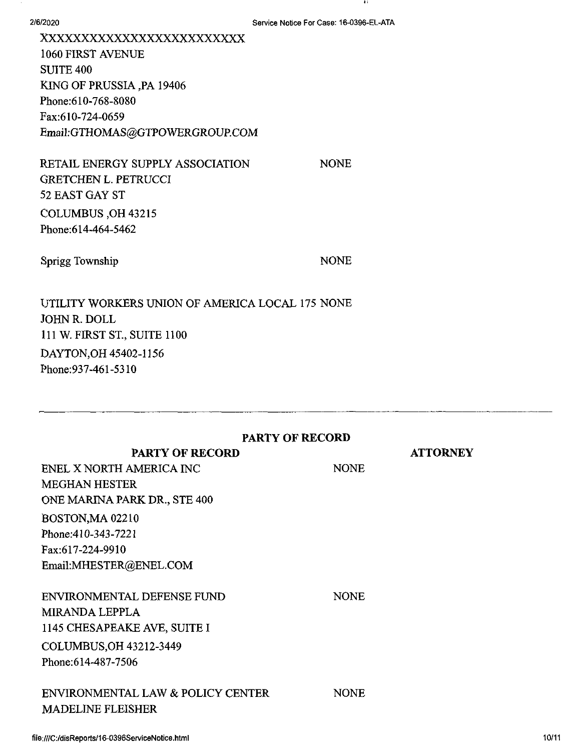2/6/2020

-11

xxxxxxxxxxxxxxxxxxxxxxxxx <sup>1060</sup> FIRST AVENUE SUITE 400 KING OF PRUSSIA ,PA 19406 Phone:610-768-8080 Fax:610-724-0659 Email;GTHOMAS@GTPOWERGROUP.COM

RETAIL ENERGY SUPPLY ASSOCIATION GRETCHEN L. PETRUCCI 52 EAST GAY ST COLUMBUS ,OH 43215 Phone:614-464-5462

Sprigg Township NONE

NONE

UTILITY WORKERS UNION OF AMERICA LOCAL 175 NONE JOHN R. DOLL 111 W. FIRST ST., SUITE 1100 DAYTON,OH 45402-1156 Phone:937-461-5310

| PARTY OF RECORD                   |             |                 |  |
|-----------------------------------|-------------|-----------------|--|
| <b>PARTY OF RECORD</b>            |             | <b>ATTORNEY</b> |  |
| ENEL X NORTH AMERICA INC          | <b>NONE</b> |                 |  |
| <b>MEGHAN HESTER</b>              |             |                 |  |
| ONE MARINA PARK DR., STE 400      |             |                 |  |
| BOSTON, MA 02210                  |             |                 |  |
| Phone: 410-343-7221               |             |                 |  |
| Fax:617-224-9910                  |             |                 |  |
| Email:MHESTER@ENEL.COM            |             |                 |  |
| <b>ENVIRONMENTAL DEFENSE FUND</b> | <b>NONE</b> |                 |  |
| <b>MIRANDA LEPPLA</b>             |             |                 |  |
| 1145 CHESAPEAKE AVE, SUITE I      |             |                 |  |
| COLUMBUS, OH 43212-3449           |             |                 |  |
| Phone: 614-487-7506               |             |                 |  |
| ENVIRONMENTAL LAW & POLICY CENTER | <b>NONE</b> |                 |  |
| <b>MADELINE FLEISHER</b>          |             |                 |  |